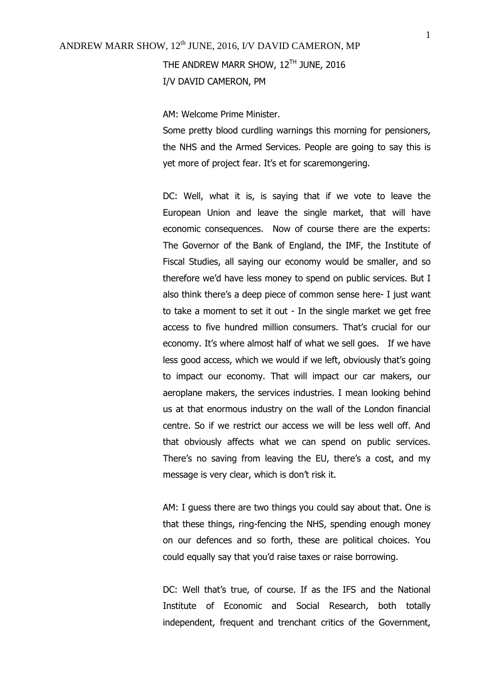I/V DAVID CAMERON, PM

AM: Welcome Prime Minister.

Some pretty blood curdling warnings this morning for pensioners, the NHS and the Armed Services. People are going to say this is yet more of project fear. It's et for scaremongering.

DC: Well, what it is, is saying that if we vote to leave the European Union and leave the single market, that will have economic consequences. Now of course there are the experts: The Governor of the Bank of England, the IMF, the Institute of Fiscal Studies, all saying our economy would be smaller, and so therefore we'd have less money to spend on public services. But I also think there's a deep piece of common sense here- I just want to take a moment to set it out - In the single market we get free access to five hundred million consumers. That's crucial for our economy. It's where almost half of what we sell goes. If we have less good access, which we would if we left, obviously that's going to impact our economy. That will impact our car makers, our aeroplane makers, the services industries. I mean looking behind us at that enormous industry on the wall of the London financial centre. So if we restrict our access we will be less well off. And that obviously affects what we can spend on public services. There's no saving from leaving the EU, there's a cost, and my message is very clear, which is don't risk it.

AM: I guess there are two things you could say about that. One is that these things, ring-fencing the NHS, spending enough money on our defences and so forth, these are political choices. You could equally say that you'd raise taxes or raise borrowing.

DC: Well that's true, of course. If as the IFS and the National Institute of Economic and Social Research, both totally independent, frequent and trenchant critics of the Government,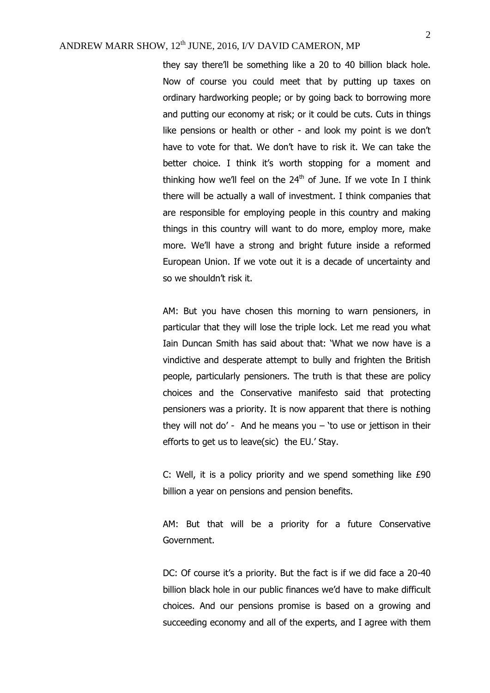they say there'll be something like a 20 to 40 billion black hole. Now of course you could meet that by putting up taxes on ordinary hardworking people; or by going back to borrowing more and putting our economy at risk; or it could be cuts. Cuts in things like pensions or health or other - and look my point is we don't have to vote for that. We don't have to risk it. We can take the better choice. I think it's worth stopping for a moment and thinking how we'll feel on the  $24<sup>th</sup>$  of June. If we vote In I think there will be actually a wall of investment. I think companies that are responsible for employing people in this country and making things in this country will want to do more, employ more, make more. We'll have a strong and bright future inside a reformed European Union. If we vote out it is a decade of uncertainty and so we shouldn't risk it.

AM: But you have chosen this morning to warn pensioners, in particular that they will lose the triple lock. Let me read you what Iain Duncan Smith has said about that: 'What we now have is a vindictive and desperate attempt to bully and frighten the British people, particularly pensioners. The truth is that these are policy choices and the Conservative manifesto said that protecting pensioners was a priority. It is now apparent that there is nothing they will not do' - And he means you  $-$  'to use or jettison in their efforts to get us to leave(sic) the EU.' Stay.

C: Well, it is a policy priority and we spend something like £90 billion a year on pensions and pension benefits.

AM: But that will be a priority for a future Conservative Government.

DC: Of course it's a priority. But the fact is if we did face a 20-40 billion black hole in our public finances we'd have to make difficult choices. And our pensions promise is based on a growing and succeeding economy and all of the experts, and I agree with them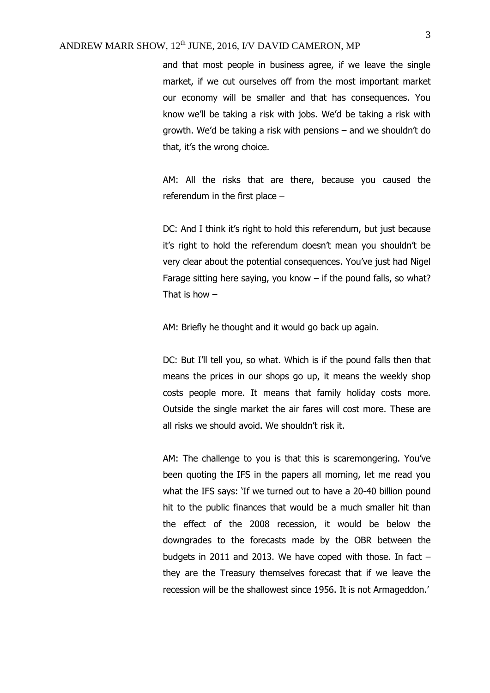and that most people in business agree, if we leave the single market, if we cut ourselves off from the most important market our economy will be smaller and that has consequences. You know we'll be taking a risk with jobs. We'd be taking a risk with growth. We'd be taking a risk with pensions – and we shouldn't do that, it's the wrong choice.

AM: All the risks that are there, because you caused the referendum in the first place –

DC: And I think it's right to hold this referendum, but just because it's right to hold the referendum doesn't mean you shouldn't be very clear about the potential consequences. You've just had Nigel Farage sitting here saying, you know  $-$  if the pound falls, so what? That is how  $-$ 

AM: Briefly he thought and it would go back up again.

DC: But I'll tell you, so what. Which is if the pound falls then that means the prices in our shops go up, it means the weekly shop costs people more. It means that family holiday costs more. Outside the single market the air fares will cost more. These are all risks we should avoid. We shouldn't risk it.

AM: The challenge to you is that this is scaremongering. You've been quoting the IFS in the papers all morning, let me read you what the IFS says: 'If we turned out to have a 20-40 billion pound hit to the public finances that would be a much smaller hit than the effect of the 2008 recession, it would be below the downgrades to the forecasts made by the OBR between the budgets in 2011 and 2013. We have coped with those. In fact – they are the Treasury themselves forecast that if we leave the recession will be the shallowest since 1956. It is not Armageddon.'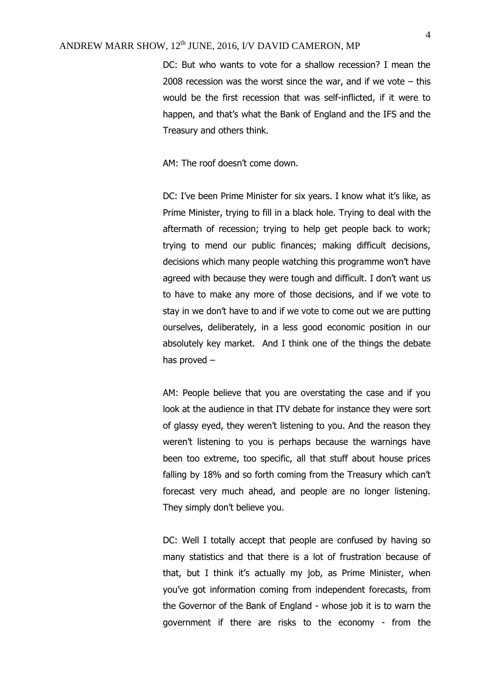DC: But who wants to vote for a shallow recession? I mean the 2008 recession was the worst since the war, and if we vote  $-$  this would be the first recession that was self-inflicted, if it were to happen, and that's what the Bank of England and the IFS and the Treasury and others think.

AM: The roof doesn't come down.

DC: I've been Prime Minister for six years. I know what it's like, as Prime Minister, trying to fill in a black hole. Trying to deal with the aftermath of recession; trying to help get people back to work; trying to mend our public finances; making difficult decisions, decisions which many people watching this programme won't have agreed with because they were tough and difficult. I don't want us to have to make any more of those decisions, and if we vote to stay in we don't have to and if we vote to come out we are putting ourselves, deliberately, in a less good economic position in our absolutely key market. And I think one of the things the debate has proved –

AM: People believe that you are overstating the case and if you look at the audience in that ITV debate for instance they were sort of glassy eyed, they weren't listening to you. And the reason they weren't listening to you is perhaps because the warnings have been too extreme, too specific, all that stuff about house prices falling by 18% and so forth coming from the Treasury which can't forecast very much ahead, and people are no longer listening. They simply don't believe you.

DC: Well I totally accept that people are confused by having so many statistics and that there is a lot of frustration because of that, but I think it's actually my job, as Prime Minister, when you've got information coming from independent forecasts, from the Governor of the Bank of England - whose job it is to warn the government if there are risks to the economy - from the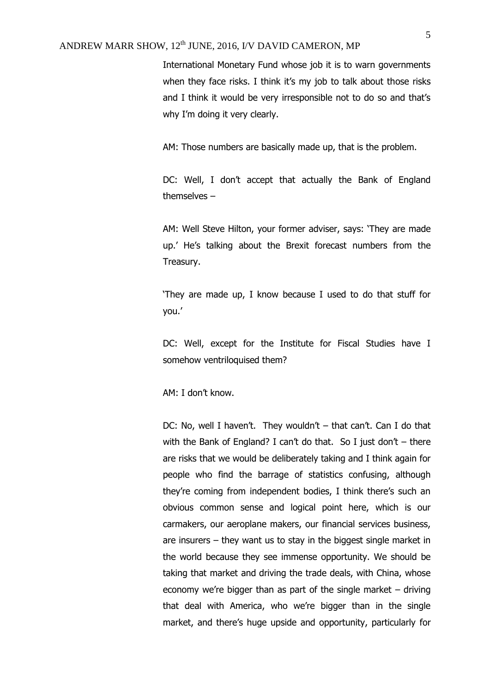International Monetary Fund whose job it is to warn governments when they face risks. I think it's my job to talk about those risks and I think it would be very irresponsible not to do so and that's why I'm doing it very clearly.

AM: Those numbers are basically made up, that is the problem.

DC: Well, I don't accept that actually the Bank of England themselves –

AM: Well Steve Hilton, your former adviser, says: 'They are made up.' He's talking about the Brexit forecast numbers from the Treasury.

'They are made up, I know because I used to do that stuff for you.'

DC: Well, except for the Institute for Fiscal Studies have I somehow ventriloquised them?

AM: I don't know.

DC: No, well I haven't. They wouldn't – that can't. Can I do that with the Bank of England? I can't do that. So I just don't – there are risks that we would be deliberately taking and I think again for people who find the barrage of statistics confusing, although they're coming from independent bodies, I think there's such an obvious common sense and logical point here, which is our carmakers, our aeroplane makers, our financial services business, are insurers – they want us to stay in the biggest single market in the world because they see immense opportunity. We should be taking that market and driving the trade deals, with China, whose economy we're bigger than as part of the single market – driving that deal with America, who we're bigger than in the single market, and there's huge upside and opportunity, particularly for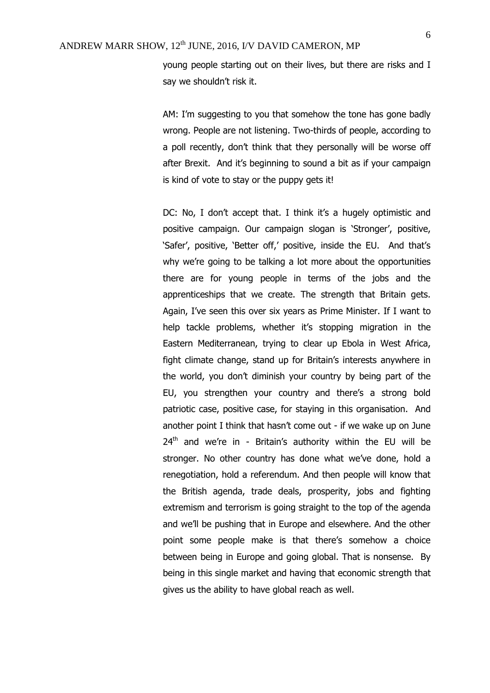young people starting out on their lives, but there are risks and I say we shouldn't risk it.

AM: I'm suggesting to you that somehow the tone has gone badly wrong. People are not listening. Two-thirds of people, according to a poll recently, don't think that they personally will be worse off after Brexit. And it's beginning to sound a bit as if your campaign is kind of vote to stay or the puppy gets it!

DC: No, I don't accept that. I think it's a hugely optimistic and positive campaign. Our campaign slogan is 'Stronger', positive, 'Safer', positive, 'Better off,' positive, inside the EU. And that's why we're going to be talking a lot more about the opportunities there are for young people in terms of the jobs and the apprenticeships that we create. The strength that Britain gets. Again, I've seen this over six years as Prime Minister. If I want to help tackle problems, whether it's stopping migration in the Eastern Mediterranean, trying to clear up Ebola in West Africa, fight climate change, stand up for Britain's interests anywhere in the world, you don't diminish your country by being part of the EU, you strengthen your country and there's a strong bold patriotic case, positive case, for staying in this organisation. And another point I think that hasn't come out - if we wake up on June  $24<sup>th</sup>$  and we're in - Britain's authority within the EU will be stronger. No other country has done what we've done, hold a renegotiation, hold a referendum. And then people will know that the British agenda, trade deals, prosperity, jobs and fighting extremism and terrorism is going straight to the top of the agenda and we'll be pushing that in Europe and elsewhere. And the other point some people make is that there's somehow a choice between being in Europe and going global. That is nonsense. By being in this single market and having that economic strength that gives us the ability to have global reach as well.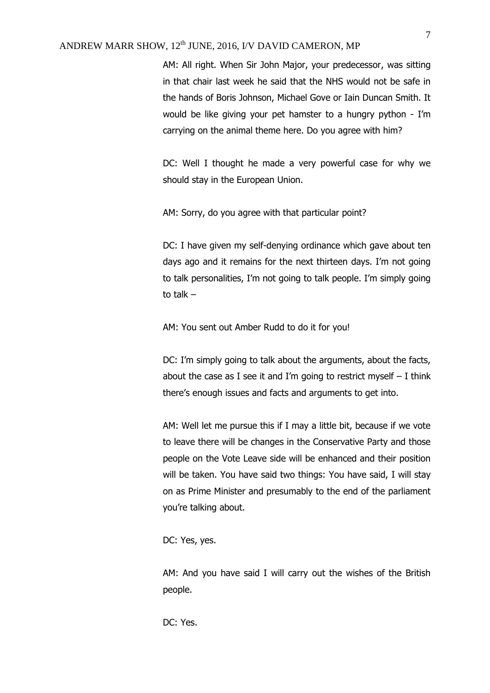AM: All right. When Sir John Major, your predecessor, was sitting in that chair last week he said that the NHS would not be safe in the hands of Boris Johnson, Michael Gove or Iain Duncan Smith. It would be like giving your pet hamster to a hungry python - I'm carrying on the animal theme here. Do you agree with him?

DC: Well I thought he made a very powerful case for why we should stay in the European Union.

AM: Sorry, do you agree with that particular point?

DC: I have given my self-denying ordinance which gave about ten days ago and it remains for the next thirteen days. I'm not going to talk personalities, I'm not going to talk people. I'm simply going to talk –

AM: You sent out Amber Rudd to do it for you!

DC: I'm simply going to talk about the arguments, about the facts, about the case as I see it and I'm going to restrict myself  $-$  I think there's enough issues and facts and arguments to get into.

AM: Well let me pursue this if I may a little bit, because if we vote to leave there will be changes in the Conservative Party and those people on the Vote Leave side will be enhanced and their position will be taken. You have said two things: You have said, I will stay on as Prime Minister and presumably to the end of the parliament you're talking about.

DC: Yes, yes.

AM: And you have said I will carry out the wishes of the British people.

DC: Yes.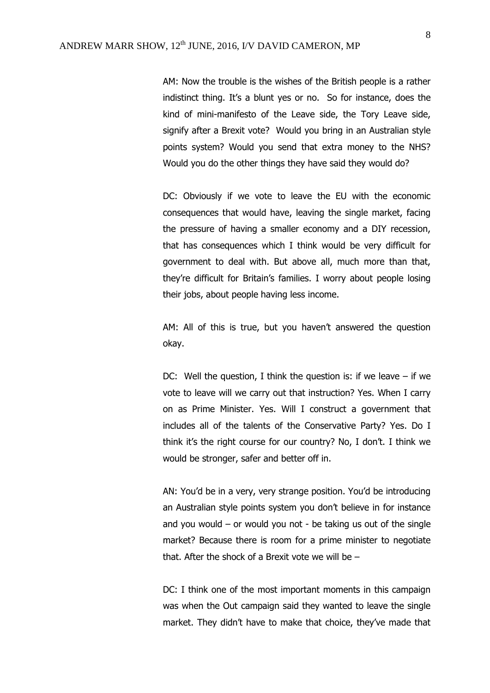AM: Now the trouble is the wishes of the British people is a rather indistinct thing. It's a blunt yes or no. So for instance, does the kind of mini-manifesto of the Leave side, the Tory Leave side, signify after a Brexit vote? Would you bring in an Australian style points system? Would you send that extra money to the NHS? Would you do the other things they have said they would do?

DC: Obviously if we vote to leave the EU with the economic consequences that would have, leaving the single market, facing the pressure of having a smaller economy and a DIY recession, that has consequences which I think would be very difficult for government to deal with. But above all, much more than that, they're difficult for Britain's families. I worry about people losing their jobs, about people having less income.

AM: All of this is true, but you haven't answered the question okay.

DC: Well the question, I think the question is: if we leave  $-$  if we vote to leave will we carry out that instruction? Yes. When I carry on as Prime Minister. Yes. Will I construct a government that includes all of the talents of the Conservative Party? Yes. Do I think it's the right course for our country? No, I don't. I think we would be stronger, safer and better off in.

AN: You'd be in a very, very strange position. You'd be introducing an Australian style points system you don't believe in for instance and you would  $-$  or would you not  $-$  be taking us out of the single market? Because there is room for a prime minister to negotiate that. After the shock of a Brexit vote we will be  $-$ 

DC: I think one of the most important moments in this campaign was when the Out campaign said they wanted to leave the single market. They didn't have to make that choice, they've made that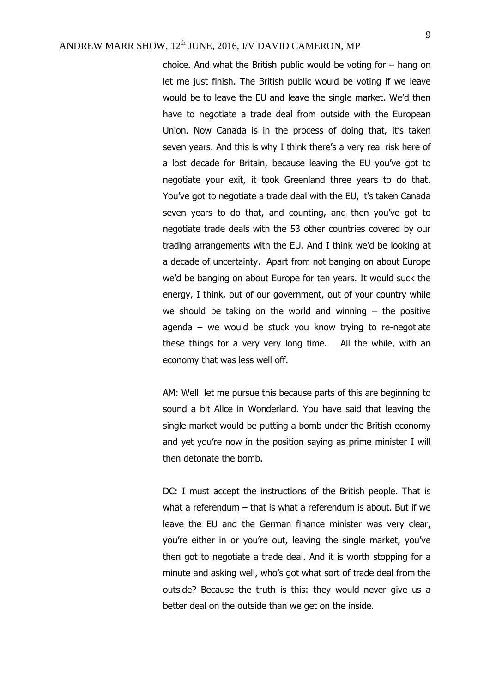choice. And what the British public would be voting for – hang on let me just finish. The British public would be voting if we leave would be to leave the EU and leave the single market. We'd then have to negotiate a trade deal from outside with the European Union. Now Canada is in the process of doing that, it's taken seven years. And this is why I think there's a very real risk here of a lost decade for Britain, because leaving the EU you've got to negotiate your exit, it took Greenland three years to do that. You've got to negotiate a trade deal with the EU, it's taken Canada seven years to do that, and counting, and then you've got to negotiate trade deals with the 53 other countries covered by our trading arrangements with the EU. And I think we'd be looking at a decade of uncertainty. Apart from not banging on about Europe we'd be banging on about Europe for ten years. It would suck the energy, I think, out of our government, out of your country while we should be taking on the world and winning  $-$  the positive agenda – we would be stuck you know trying to re-negotiate these things for a very very long time. All the while, with an economy that was less well off.

AM: Well let me pursue this because parts of this are beginning to sound a bit Alice in Wonderland. You have said that leaving the single market would be putting a bomb under the British economy and yet you're now in the position saying as prime minister I will then detonate the bomb.

DC: I must accept the instructions of the British people. That is what a referendum – that is what a referendum is about. But if we leave the EU and the German finance minister was very clear, you're either in or you're out, leaving the single market, you've then got to negotiate a trade deal. And it is worth stopping for a minute and asking well, who's got what sort of trade deal from the outside? Because the truth is this: they would never give us a better deal on the outside than we get on the inside.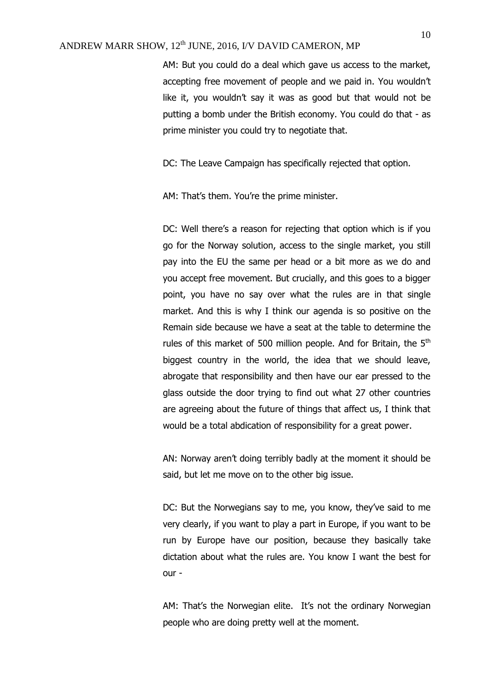AM: But you could do a deal which gave us access to the market, accepting free movement of people and we paid in. You wouldn't like it, you wouldn't say it was as good but that would not be putting a bomb under the British economy. You could do that - as prime minister you could try to negotiate that.

DC: The Leave Campaign has specifically rejected that option.

AM: That's them. You're the prime minister.

DC: Well there's a reason for rejecting that option which is if you go for the Norway solution, access to the single market, you still pay into the EU the same per head or a bit more as we do and you accept free movement. But crucially, and this goes to a bigger point, you have no say over what the rules are in that single market. And this is why I think our agenda is so positive on the Remain side because we have a seat at the table to determine the rules of this market of 500 million people. And for Britain, the  $5<sup>th</sup>$ biggest country in the world, the idea that we should leave, abrogate that responsibility and then have our ear pressed to the glass outside the door trying to find out what 27 other countries are agreeing about the future of things that affect us, I think that would be a total abdication of responsibility for a great power.

AN: Norway aren't doing terribly badly at the moment it should be said, but let me move on to the other big issue.

DC: But the Norwegians say to me, you know, they've said to me very clearly, if you want to play a part in Europe, if you want to be run by Europe have our position, because they basically take dictation about what the rules are. You know I want the best for  $OIII -$ 

AM: That's the Norwegian elite. It's not the ordinary Norwegian people who are doing pretty well at the moment.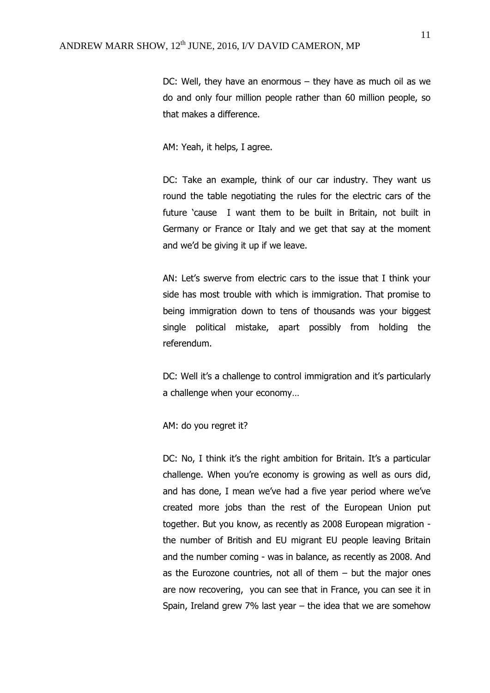DC: Well, they have an enormous – they have as much oil as we do and only four million people rather than 60 million people, so that makes a difference.

AM: Yeah, it helps, I agree.

DC: Take an example, think of our car industry. They want us round the table negotiating the rules for the electric cars of the future 'cause I want them to be built in Britain, not built in Germany or France or Italy and we get that say at the moment and we'd be giving it up if we leave.

AN: Let's swerve from electric cars to the issue that I think your side has most trouble with which is immigration. That promise to being immigration down to tens of thousands was your biggest single political mistake, apart possibly from holding the referendum.

DC: Well it's a challenge to control immigration and it's particularly a challenge when your economy…

AM: do you regret it?

DC: No, I think it's the right ambition for Britain. It's a particular challenge. When you're economy is growing as well as ours did, and has done, I mean we've had a five year period where we've created more jobs than the rest of the European Union put together. But you know, as recently as 2008 European migration the number of British and EU migrant EU people leaving Britain and the number coming - was in balance, as recently as 2008. And as the Eurozone countries, not all of them  $-$  but the major ones are now recovering, you can see that in France, you can see it in Spain, Ireland grew 7% last year – the idea that we are somehow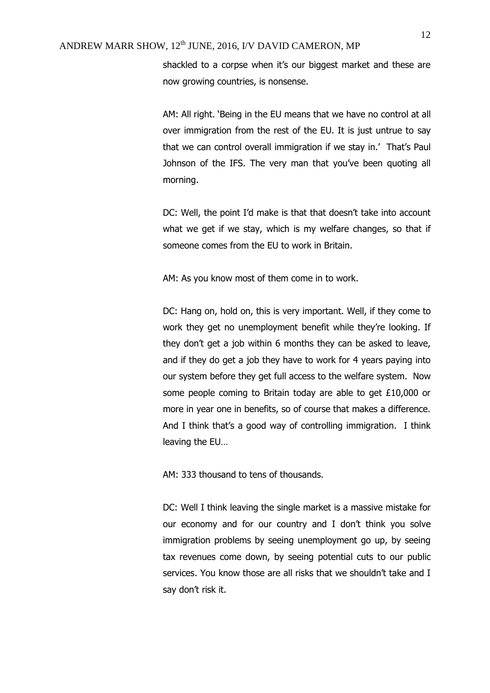shackled to a corpse when it's our biggest market and these are now growing countries, is nonsense.

AM: All right. 'Being in the EU means that we have no control at all over immigration from the rest of the EU. It is just untrue to say that we can control overall immigration if we stay in.' That's Paul Johnson of the IFS. The very man that you've been quoting all morning.

DC: Well, the point I'd make is that that doesn't take into account what we get if we stay, which is my welfare changes, so that if someone comes from the EU to work in Britain.

AM: As you know most of them come in to work.

DC: Hang on, hold on, this is very important. Well, if they come to work they get no unemployment benefit while they're looking. If they don't get a job within 6 months they can be asked to leave, and if they do get a job they have to work for 4 years paying into our system before they get full access to the welfare system. Now some people coming to Britain today are able to get £10,000 or more in year one in benefits, so of course that makes a difference. And I think that's a good way of controlling immigration. I think leaving the EU…

AM: 333 thousand to tens of thousands.

DC: Well I think leaving the single market is a massive mistake for our economy and for our country and I don't think you solve immigration problems by seeing unemployment go up, by seeing tax revenues come down, by seeing potential cuts to our public services. You know those are all risks that we shouldn't take and I say don't risk it.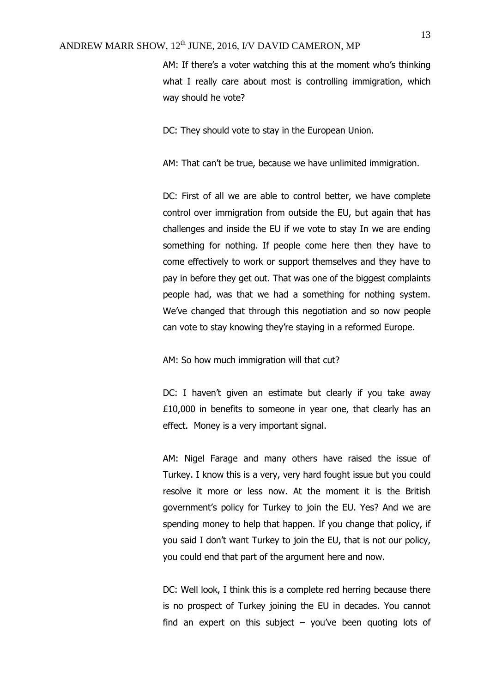AM: If there's a voter watching this at the moment who's thinking what I really care about most is controlling immigration, which way should he vote?

DC: They should vote to stay in the European Union.

AM: That can't be true, because we have unlimited immigration.

DC: First of all we are able to control better, we have complete control over immigration from outside the EU, but again that has challenges and inside the EU if we vote to stay In we are ending something for nothing. If people come here then they have to come effectively to work or support themselves and they have to pay in before they get out. That was one of the biggest complaints people had, was that we had a something for nothing system. We've changed that through this negotiation and so now people can vote to stay knowing they're staying in a reformed Europe.

AM: So how much immigration will that cut?

DC: I haven't given an estimate but clearly if you take away £10,000 in benefits to someone in year one, that clearly has an effect. Money is a very important signal.

AM: Nigel Farage and many others have raised the issue of Turkey. I know this is a very, very hard fought issue but you could resolve it more or less now. At the moment it is the British government's policy for Turkey to join the EU. Yes? And we are spending money to help that happen. If you change that policy, if you said I don't want Turkey to join the EU, that is not our policy, you could end that part of the argument here and now.

DC: Well look, I think this is a complete red herring because there is no prospect of Turkey joining the EU in decades. You cannot find an expert on this subject  $-$  you've been quoting lots of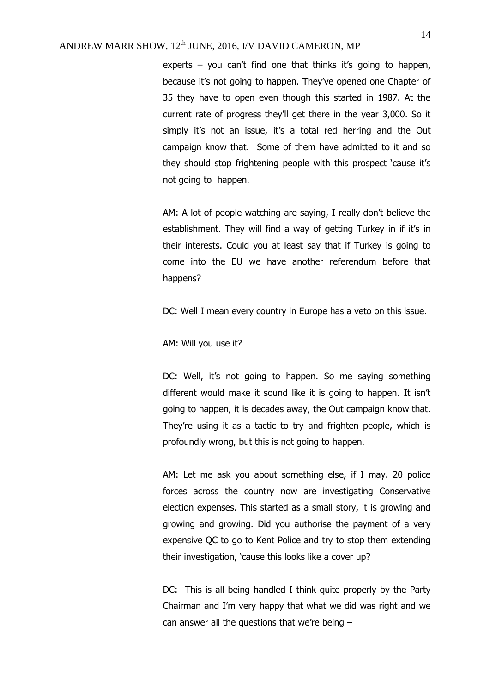experts – you can't find one that thinks it's going to happen, because it's not going to happen. They've opened one Chapter of 35 they have to open even though this started in 1987. At the current rate of progress they'll get there in the year 3,000. So it simply it's not an issue, it's a total red herring and the Out campaign know that. Some of them have admitted to it and so they should stop frightening people with this prospect 'cause it's not going to happen.

AM: A lot of people watching are saying, I really don't believe the establishment. They will find a way of getting Turkey in if it's in their interests. Could you at least say that if Turkey is going to come into the EU we have another referendum before that happens?

DC: Well I mean every country in Europe has a veto on this issue.

AM: Will you use it?

DC: Well, it's not going to happen. So me saying something different would make it sound like it is going to happen. It isn't going to happen, it is decades away, the Out campaign know that. They're using it as a tactic to try and frighten people, which is profoundly wrong, but this is not going to happen.

AM: Let me ask you about something else, if I may. 20 police forces across the country now are investigating Conservative election expenses. This started as a small story, it is growing and growing and growing. Did you authorise the payment of a very expensive QC to go to Kent Police and try to stop them extending their investigation, 'cause this looks like a cover up?

DC: This is all being handled I think quite properly by the Party Chairman and I'm very happy that what we did was right and we can answer all the questions that we're being –